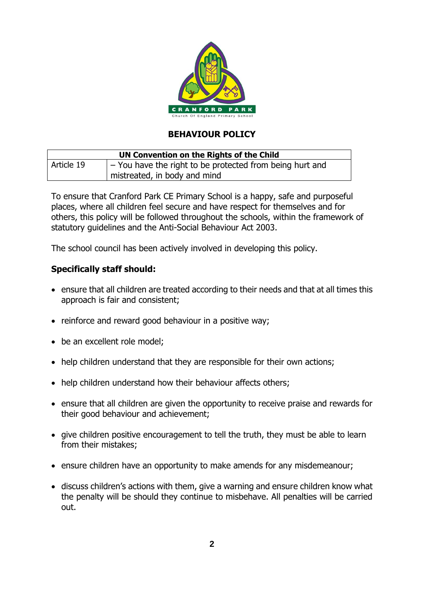

## **BEHAVIOUR POLICY**

| UN Convention on the Rights of the Child |                                                                  |  |  |
|------------------------------------------|------------------------------------------------------------------|--|--|
| Article 19                               | $\vert$ – You have the right to be protected from being hurt and |  |  |
|                                          | mistreated, in body and mind                                     |  |  |

To ensure that Cranford Park CE Primary School is a happy, safe and purposeful places, where all children feel secure and have respect for themselves and for others, this policy will be followed throughout the schools, within the framework of statutory guidelines and the Anti-Social Behaviour Act 2003.

The school council has been actively involved in developing this policy.

## **Specifically staff should:**

- ensure that all children are treated according to their needs and that at all times this approach is fair and consistent;
- reinforce and reward good behaviour in a positive way;
- be an excellent role model;
- help children understand that they are responsible for their own actions;
- help children understand how their behaviour affects others;
- ensure that all children are given the opportunity to receive praise and rewards for their good behaviour and achievement;
- give children positive encouragement to tell the truth, they must be able to learn from their mistakes;
- ensure children have an opportunity to make amends for any misdemeanour;
- discuss children's actions with them, give a warning and ensure children know what the penalty will be should they continue to misbehave. All penalties will be carried out.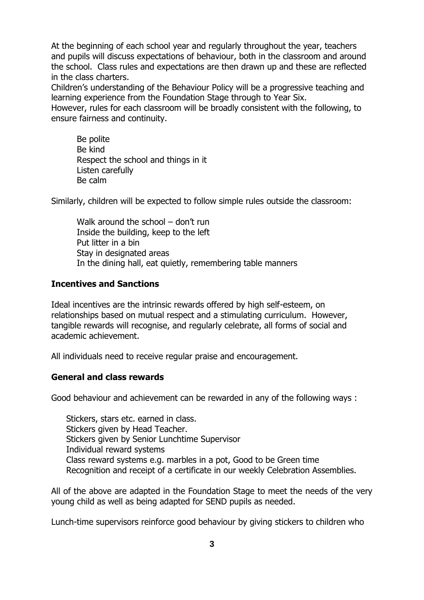At the beginning of each school year and regularly throughout the year, teachers and pupils will discuss expectations of behaviour, both in the classroom and around the school. Class rules and expectations are then drawn up and these are reflected in the class charters.

Children's understanding of the Behaviour Policy will be a progressive teaching and learning experience from the Foundation Stage through to Year Six.

However, rules for each classroom will be broadly consistent with the following, to ensure fairness and continuity.

Be polite Be kind Respect the school and things in it Listen carefully Be calm

Similarly, children will be expected to follow simple rules outside the classroom:

Walk around the school – don't run Inside the building, keep to the left Put litter in a bin Stay in designated areas In the dining hall, eat quietly, remembering table manners

#### **Incentives and Sanctions**

Ideal incentives are the intrinsic rewards offered by high self-esteem, on relationships based on mutual respect and a stimulating curriculum. However, tangible rewards will recognise, and regularly celebrate, all forms of social and academic achievement.

All individuals need to receive regular praise and encouragement.

#### **General and class rewards**

Good behaviour and achievement can be rewarded in any of the following ways :

Stickers, stars etc. earned in class. Stickers given by Head Teacher. Stickers given by Senior Lunchtime Supervisor Individual reward systems Class reward systems e.g. marbles in a pot, Good to be Green time Recognition and receipt of a certificate in our weekly Celebration Assemblies.

All of the above are adapted in the Foundation Stage to meet the needs of the very young child as well as being adapted for SEND pupils as needed.

Lunch-time supervisors reinforce good behaviour by giving stickers to children who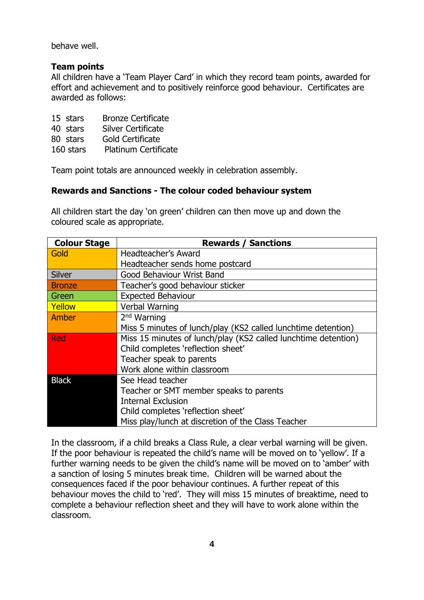behave well.

## **Team points**

All children have a 'Team Player Card' in which they record team points, awarded for effort and achievement and to positively reinforce good behaviour. Certificates are awarded as follows:

|  | 15 stars |  | <b>Bronze Certificate</b> |
|--|----------|--|---------------------------|
|--|----------|--|---------------------------|

- 40 stars Silver Certificate
- 80 stars Gold Certificate
- 160 stars Platinum Certificate

Team point totals are announced weekly in celebration assembly.

## **Rewards and Sanctions - The colour coded behaviour system**

All children start the day 'on green' children can then move up and down the coloured scale as appropriate.

| <b>Colour Stage</b> | <b>Rewards / Sanctions</b>                                     |  |  |  |
|---------------------|----------------------------------------------------------------|--|--|--|
| Gold                | Headteacher's Award                                            |  |  |  |
|                     | Headteacher sends home postcard                                |  |  |  |
| <b>Silver</b>       | <b>Good Behaviour Wrist Band</b>                               |  |  |  |
| <b>Bronze</b>       | Teacher's good behaviour sticker                               |  |  |  |
| Green               | <b>Expected Behaviour</b>                                      |  |  |  |
| Yellow              | Verbal Warning                                                 |  |  |  |
| Amber               | 2 <sup>nd</sup> Warning                                        |  |  |  |
|                     | Miss 5 minutes of lunch/play (KS2 called lunchtime detention)  |  |  |  |
| <b>Red</b>          | Miss 15 minutes of lunch/play (KS2 called lunchtime detention) |  |  |  |
|                     | Child completes 'reflection sheet'                             |  |  |  |
|                     | Teacher speak to parents                                       |  |  |  |
|                     | Work alone within classroom                                    |  |  |  |
| <b>Black</b>        | See Head teacher                                               |  |  |  |
|                     | Teacher or SMT member speaks to parents                        |  |  |  |
|                     | <b>Internal Exclusion</b>                                      |  |  |  |
|                     | Child completes 'reflection sheet'                             |  |  |  |
|                     | Miss play/lunch at discretion of the Class Teacher             |  |  |  |

In the classroom, if a child breaks a Class Rule, a clear verbal warning will be given. If the poor behaviour is repeated the child's name will be moved on to 'yellow'. If a further warning needs to be given the child's name will be moved on to 'amber' with a sanction of losing 5 minutes break time. Children will be warned about the consequences faced if the poor behaviour continues. A further repeat of this behaviour moves the child to 'red'. They will miss 15 minutes of breaktime, need to complete a behaviour reflection sheet and they will have to work alone within the classroom.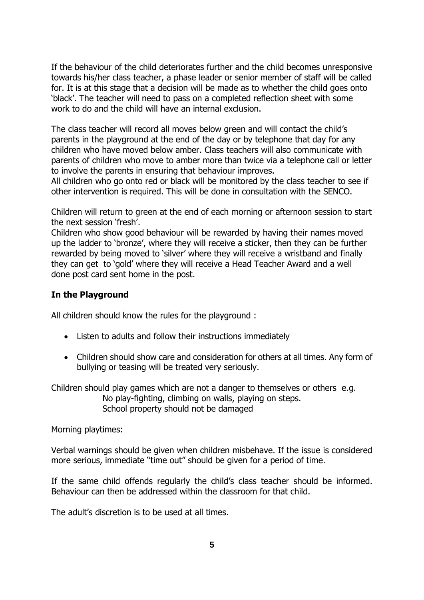If the behaviour of the child deteriorates further and the child becomes unresponsive towards his/her class teacher, a phase leader or senior member of staff will be called for. It is at this stage that a decision will be made as to whether the child goes onto 'black'. The teacher will need to pass on a completed reflection sheet with some work to do and the child will have an internal exclusion.

The class teacher will record all moves below green and will contact the child's parents in the playground at the end of the day or by telephone that day for any children who have moved below amber. Class teachers will also communicate with parents of children who move to amber more than twice via a telephone call or letter to involve the parents in ensuring that behaviour improves.

All children who go onto red or black will be monitored by the class teacher to see if other intervention is required. This will be done in consultation with the SENCO.

Children will return to green at the end of each morning or afternoon session to start the next session 'fresh'.

Children who show good behaviour will be rewarded by having their names moved up the ladder to 'bronze', where they will receive a sticker, then they can be further rewarded by being moved to 'silver' where they will receive a wristband and finally they can get to 'gold' where they will receive a Head Teacher Award and a well done post card sent home in the post.

## **In the Playground**

All children should know the rules for the playground :

- Listen to adults and follow their instructions immediately
- Children should show care and consideration for others at all times. Any form of bullying or teasing will be treated very seriously.

Children should play games which are not a danger to themselves or others e.g. No play-fighting, climbing on walls, playing on steps. School property should not be damaged

Morning playtimes:

Verbal warnings should be given when children misbehave. If the issue is considered more serious, immediate "time out" should be given for a period of time.

If the same child offends regularly the child's class teacher should be informed. Behaviour can then be addressed within the classroom for that child.

The adult's discretion is to be used at all times.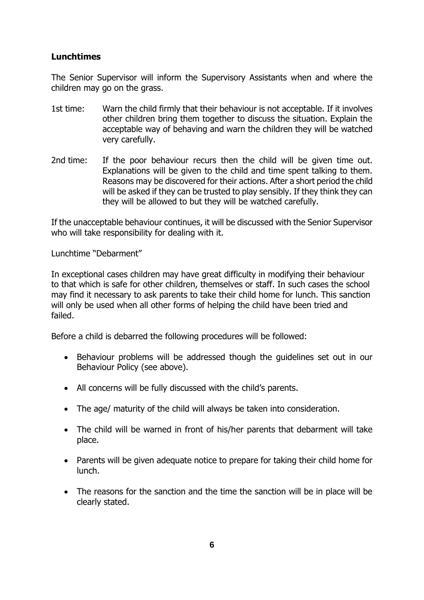## **Lunchtimes**

The Senior Supervisor will inform the Supervisory Assistants when and where the children may go on the grass.

- 1st time: Warn the child firmly that their behaviour is not acceptable. If it involves other children bring them together to discuss the situation. Explain the acceptable way of behaving and warn the children they will be watched very carefully.
- 2nd time: If the poor behaviour recurs then the child will be given time out. Explanations will be given to the child and time spent talking to them. Reasons may be discovered for their actions. After a short period the child will be asked if they can be trusted to play sensibly. If they think they can they will be allowed to but they will be watched carefully.

If the unacceptable behaviour continues, it will be discussed with the Senior Supervisor who will take responsibility for dealing with it.

Lunchtime "Debarment"

In exceptional cases children may have great difficulty in modifying their behaviour to that which is safe for other children, themselves or staff. In such cases the school may find it necessary to ask parents to take their child home for lunch. This sanction will only be used when all other forms of helping the child have been tried and failed.

Before a child is debarred the following procedures will be followed:

- Behaviour problems will be addressed though the guidelines set out in our Behaviour Policy (see above).
- All concerns will be fully discussed with the child's parents.
- The age/ maturity of the child will always be taken into consideration.
- The child will be warned in front of his/her parents that debarment will take place.
- Parents will be given adequate notice to prepare for taking their child home for lunch.
- The reasons for the sanction and the time the sanction will be in place will be clearly stated.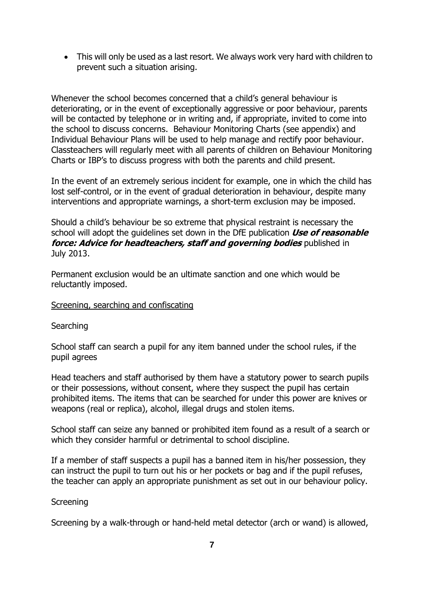• This will only be used as a last resort. We always work very hard with children to prevent such a situation arising.

Whenever the school becomes concerned that a child's general behaviour is deteriorating, or in the event of exceptionally aggressive or poor behaviour, parents will be contacted by telephone or in writing and, if appropriate, invited to come into the school to discuss concerns. Behaviour Monitoring Charts (see appendix) and Individual Behaviour Plans will be used to help manage and rectify poor behaviour. Classteachers will regularly meet with all parents of children on Behaviour Monitoring Charts or IBP's to discuss progress with both the parents and child present.

In the event of an extremely serious incident for example, one in which the child has lost self-control, or in the event of gradual deterioration in behaviour, despite many interventions and appropriate warnings, a short-term exclusion may be imposed.

Should a child's behaviour be so extreme that physical restraint is necessary the school will adopt the guidelines set down in the DfE publication **Use of reasonable force: Advice for headteachers, staff and governing bodies** published in July 2013.

Permanent exclusion would be an ultimate sanction and one which would be reluctantly imposed.

#### Screening, searching and confiscating

**Searching** 

School staff can search a pupil for any item banned under the school rules, if the pupil agrees

Head teachers and staff authorised by them have a statutory power to search pupils or their possessions, without consent, where they suspect the pupil has certain prohibited items. The items that can be searched for under this power are knives or weapons (real or replica), alcohol, illegal drugs and stolen items.

School staff can seize any banned or prohibited item found as a result of a search or which they consider harmful or detrimental to school discipline.

If a member of staff suspects a pupil has a banned item in his/her possession, they can instruct the pupil to turn out his or her pockets or bag and if the pupil refuses, the teacher can apply an appropriate punishment as set out in our behaviour policy.

#### **Screening**

Screening by a walk-through or hand-held metal detector (arch or wand) is allowed,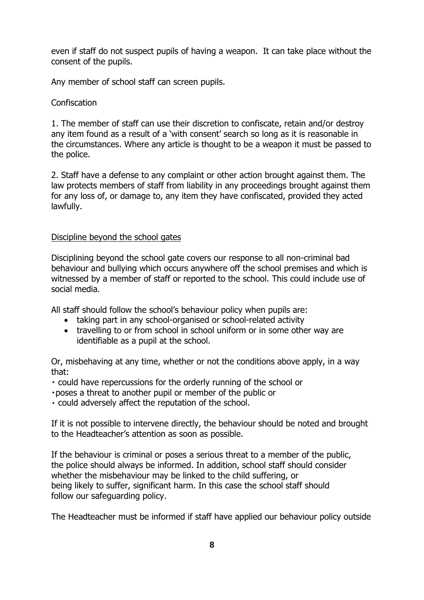even if staff do not suspect pupils of having a weapon. It can take place without the consent of the pupils.

Any member of school staff can screen pupils.

## **Confiscation**

1. The member of staff can use their discretion to confiscate, retain and/or destroy any item found as a result of a 'with consent' search so long as it is reasonable in the circumstances. Where any article is thought to be a weapon it must be passed to the police.

2. Staff have a defense to any complaint or other action brought against them. The law protects members of staff from liability in any proceedings brought against them for any loss of, or damage to, any item they have confiscated, provided they acted lawfully.

## Discipline beyond the school gates

Disciplining beyond the school gate covers our response to all non-criminal bad behaviour and bullying which occurs anywhere off the school premises and which is witnessed by a member of staff or reported to the school. This could include use of social media.

All staff should follow the school's behaviour policy when pupils are:

- taking part in any school-organised or school-related activity
- travelling to or from school in school uniform or in some other way are identifiable as a pupil at the school.

Or, misbehaving at any time, whether or not the conditions above apply, in a way that:

could have repercussions for the orderly running of the school or

poses a threat to another pupil or member of the public or

could adversely affect the reputation of the school.

If it is not possible to intervene directly, the behaviour should be noted and brought to the Headteacher's attention as soon as possible.

If the behaviour is criminal or poses a serious threat to a member of the public, the police should always be informed. In addition, school staff should consider whether the misbehaviour may be linked to the child suffering, or being likely to suffer, significant harm. In this case the school staff should follow our safeguarding policy.

The Headteacher must be informed if staff have applied our behaviour policy outside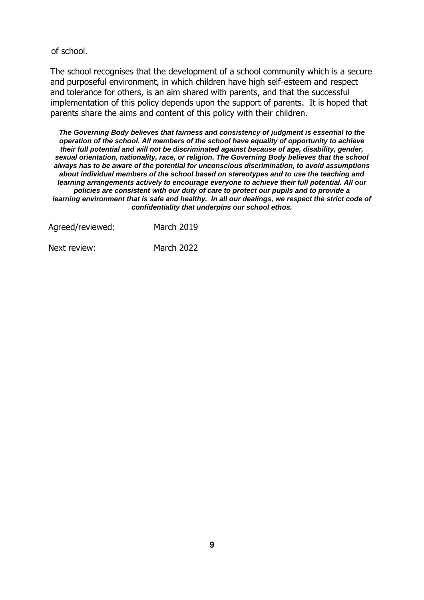of school.

The school recognises that the development of a school community which is a secure and purposeful environment, in which children have high self-esteem and respect and tolerance for others, is an aim shared with parents, and that the successful implementation of this policy depends upon the support of parents. It is hoped that parents share the aims and content of this policy with their children.

*The Governing Body believes that fairness and consistency of judgment is essential to the operation of the school. All members of the school have equality of opportunity to achieve their full potential and will not be discriminated against because of age, disability, gender, sexual orientation, nationality, race, or religion. The Governing Body believes that the school always has to be aware of the potential for unconscious discrimination, to avoid assumptions about individual members of the school based on stereotypes and to use the teaching and learning arrangements actively to encourage everyone to achieve their full potential. All our policies are consistent with our duty of care to protect our pupils and to provide a learning environment that is safe and healthy. In all our dealings, we respect the strict code of confidentiality that underpins our school ethos.*

| Agreed/reviewed: | <b>March 2019</b> |
|------------------|-------------------|
| Next review:     | <b>March 2022</b> |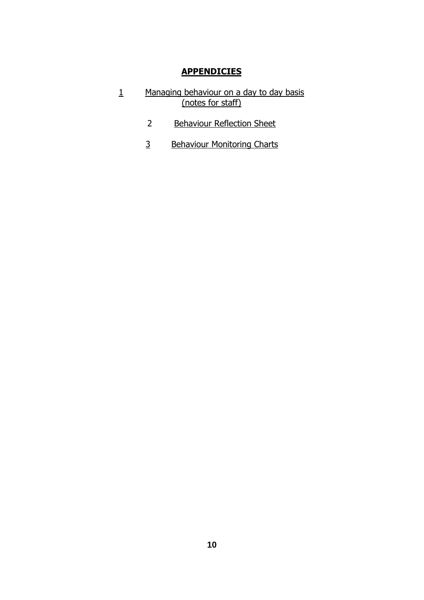## **APPENDICIES**

- 1 Managing behaviour on a day to day basis (notes for staff)
	- 2 Behaviour Reflection Sheet
	- 3 Behaviour Monitoring Charts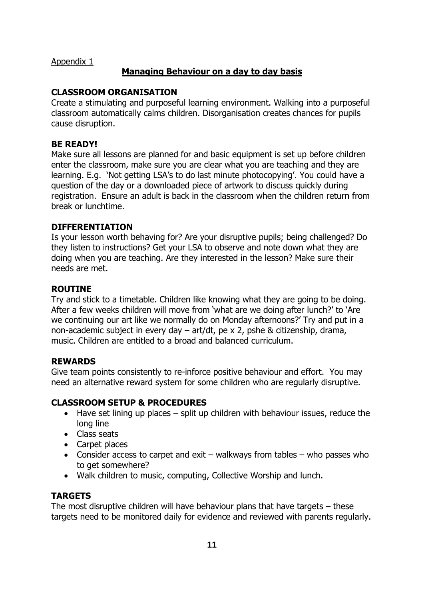Appendix 1

## **Managing Behaviour on a day to day basis**

## **CLASSROOM ORGANISATION**

Create a stimulating and purposeful learning environment. Walking into a purposeful classroom automatically calms children. Disorganisation creates chances for pupils cause disruption.

## **BE READY!**

Make sure all lessons are planned for and basic equipment is set up before children enter the classroom, make sure you are clear what you are teaching and they are learning. E.g. 'Not getting LSA's to do last minute photocopying'. You could have a question of the day or a downloaded piece of artwork to discuss quickly during registration. Ensure an adult is back in the classroom when the children return from break or lunchtime.

## **DIFFERENTIATION**

Is your lesson worth behaving for? Are your disruptive pupils; being challenged? Do they listen to instructions? Get your LSA to observe and note down what they are doing when you are teaching. Are they interested in the lesson? Make sure their needs are met.

## **ROUTINE**

Try and stick to a timetable. Children like knowing what they are going to be doing. After a few weeks children will move from 'what are we doing after lunch?' to 'Are we continuing our art like we normally do on Monday afternoons?' Try and put in a non-academic subject in every day – art/dt, pe x 2, pshe & citizenship, drama, music. Children are entitled to a broad and balanced curriculum.

## **REWARDS**

Give team points consistently to re-inforce positive behaviour and effort. You may need an alternative reward system for some children who are regularly disruptive.

## **CLASSROOM SETUP & PROCEDURES**

- Have set lining up places split up children with behaviour issues, reduce the long line
- Class seats
- Carpet places
- Consider access to carpet and exit walkways from tables who passes who to get somewhere?
- Walk children to music, computing, Collective Worship and lunch.

## **TARGETS**

The most disruptive children will have behaviour plans that have targets – these targets need to be monitored daily for evidence and reviewed with parents regularly.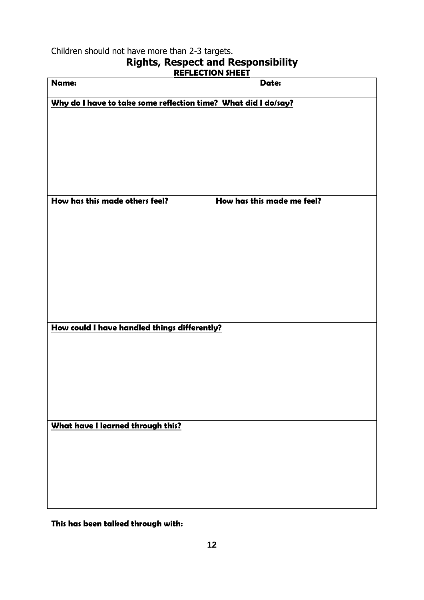Children should not have more than 2-3 targets.

# **Rights, Respect and Responsibility**

| <b>REFLECTION SHEET</b>                                        |                            |  |  |  |
|----------------------------------------------------------------|----------------------------|--|--|--|
| Name:                                                          | Date:                      |  |  |  |
| Why do I have to take some reflection time? What did I do/say? |                            |  |  |  |
|                                                                |                            |  |  |  |
|                                                                |                            |  |  |  |
|                                                                |                            |  |  |  |
|                                                                |                            |  |  |  |
|                                                                |                            |  |  |  |
|                                                                |                            |  |  |  |
| How has this made others feel?                                 | How has this made me feel? |  |  |  |
|                                                                |                            |  |  |  |
|                                                                |                            |  |  |  |
|                                                                |                            |  |  |  |
|                                                                |                            |  |  |  |
|                                                                |                            |  |  |  |
|                                                                |                            |  |  |  |
|                                                                |                            |  |  |  |
|                                                                |                            |  |  |  |
|                                                                |                            |  |  |  |
| How could I have handled things differently?                   |                            |  |  |  |
|                                                                |                            |  |  |  |
|                                                                |                            |  |  |  |
|                                                                |                            |  |  |  |
|                                                                |                            |  |  |  |
|                                                                |                            |  |  |  |
|                                                                |                            |  |  |  |
| <b>What have I learned through this?</b>                       |                            |  |  |  |
|                                                                |                            |  |  |  |
|                                                                |                            |  |  |  |
|                                                                |                            |  |  |  |
|                                                                |                            |  |  |  |
|                                                                |                            |  |  |  |
|                                                                |                            |  |  |  |

**This has been talked through with:**